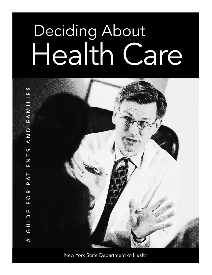# Deciding About Health Care

FAMILIES A GUIDE FOR PATIENTS AND FAMILIES PATIENTS AND FOR GUIDE  $\blacktriangle$ 



New York State Department of Health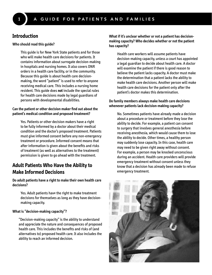# **Introduction**

## **Who should read this guide?**

This guide is for New York State patients and for those who will make health care decisions for patients. It contains information about surrogate decision-making in hospitals and nursing homes. It also covers DNR orders in a health care facility, or in the community. Because this guide is about health care decisionmaking, the word "patient" is used to refer to anyone receiving medical care. This includes a nursing home resident. This guide does **not** include the special rules for health care decisions made by legal guardians of persons with developmental disabilities.

# **Can the patient or other decision maker find out about the patient's medical condition and proposed treatment?**

Yes. Patients or other decision makers have a right to be fully informed by a doctor about their medical condition and the doctor's proposed treatment. Patients must give informed consent before any non-emergency treatment or procedure. Informed consent means that after information is given about the benefits and risks of treatment (as well as alternatives to the treatment) permission is given to go ahead with the treatment.

# **Adult Patients Who Have the Ability to Make Informed Decisions**

**Do adult patients have a right to make their own health care decisions?**

Yes. Adult patients have the right to make treatment decisions for themselves as long as they have decision-**1**making capacity.

# **What is "decision-making capacity"?**

"Decision-making capacity" is the ability to understand and appreciate the nature and consequences of proposed health care. This includes the benefits and risks of (and alternatives to) proposed health care. It also includes the ability to reach an informed decision.

**What if it's unclear whether or not a patient has decisionmaking capacity? Who decides whether or not the patient has capacity?**

Health care workers will assume patients have decision-making capacity, unless a court has appointed a legal guardian to decide about health care. A doctor will examine the patient if there is good reason to believe the patient lacks capacity. A doctor must make the determination that a patient lacks the ability to make health care decisions. Another person will make health care decisions for the patient only after the patient's doctor makes this determination.

# **Do family members always make health care decisions whenever patients lack decision-making capacity?**

No. Sometimes patients have already made a decision about a procedure or treatment before they lose the ability to decide. For example, a patient can consent to surgery that involves general anesthesia before receiving anesthesia, which would cause them to lose the ability to decide. Other times, a healthy person may suddenly lose capacity. In this case, health care may need to be given right away without consent. For example, a person may be knocked unconscious during an accident. Health care providers will provide emergency treatment without consent unless they know that a decision has already been made to refuse emergency treatment.

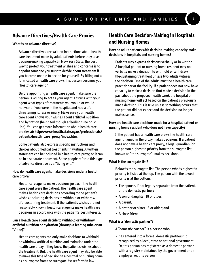# **Advance Directives/Health Care Proxies**

# **What is an advance directive?**

Advance directives are written instructions about health care treatment made by adult patients before they lose decision-making capacity. In New York State, the best way to protect your treatment wishes and concerns is to appoint someone you trust to decide about treatment if you become unable to decide for yourself. By filling out a form called a health care proxy, this person becomes your "health care agent."

Before appointing a health care agent, make sure the person is willing to act as your agent. Discuss with your agent what types of treatments you would or would not want if you were in the hospital and had a lifethreatening illness or injury. Make sure your health care agent knows your wishes about artificial nutrition and hydration (being fed though a feeding tube or IV line). You can get more information about health care proxies at: **http://www.health.state.ny.us/professionals/ patients/health\_care\_proxy/index.htm.**

Some patients also express specific instructions and choices about medical treatments in writing. A written statement can be included in a health care proxy, or it can be in a separate document. Some people refer to this type of advance directive as a "living will."

# **How do health care agents make decisions under a health care proxy?**

Health care agents make decisions just as if the health care agent were the patient. The health care agent makes health care decisions according to the patient's wishes, including decisions to withhold or withdraw life-sustaining treatment. If the patient's wishes are not reasonably known, health care agents make health care decisions in accordance with the patient's best interests.

# **Can a health care agent decide to withhold or withdraw artificial nutrition or hydration (through a feeding tube or an IV line)?**

Health care agents can only make decisions to withhold or withdraw artificial nutrition and hydration under the health care proxy if they know the patient's wishes about the treatment. But, the health care agent may also be able to make thistype of decision in a hospital or nursing home as a surrogate from the surrogate list set forth in law.

# **Health Care Decision-Making in Hospitals and Nursing Homes**

# **How do adult patients with decision-making capacity make decisions in hospitals and nursing homes?**

Patients may express decisions verbally or in writing. A hospital patient or nursing home resident may not verbally make a decision to withhold or withdraw life-sustaining treatment unless two adults witness the decision. One of the adults must be a health care practitioner at the facility. If a patient does not now have capacity to make a decision (but made a decision in the past about the proposed health care), the hospital or nursing home will act based on the patient's previously made decision. This is true unless something occurs that the patient did not expect and the decision no longer makes sense.

# **How are health care decisions made for a hospital patient or nursing home resident who does not have capacity?**

If the patient has a health care proxy, the health care agent named in the proxy makes decisions. If a patient does not have a health care proxy, a legal guardian (or the person highest in priority from the surrogate list, known as "the surrogate") makes decisions.

# **What is the surrogate list?**

Below is the surrogate list. The person who is highest in priority is listed at the top. The person with the lowest priority is at the bottom.

- The spouse, if not legally separated from the patient, or the domestic partner;
- A son or daughter 18 or older;
- A parent;
- A brother or sister 18 or older; and
- A close friend.

#### **What is a "domestic partner"?**

- A "domestic partner" is a person who:
- has entered into a formal domestic partnership recognized by a local, state or national government. Or, this person has registered as a domestic partner with a registry maintained by the government or an employer; or, this person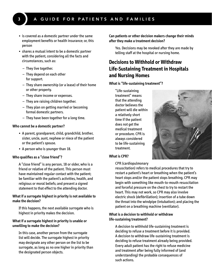- is covered as a domestic partner under the same employment benefits or health insurance; or, this person
- shares a mutual intent to be a domestic partner with the patient, considering all the facts and circumstances, such as:
	- They live together.
	- They depend on each other for support.
	- They share ownership (or a lease) of their home or other property.
	- They share income or expenses.
	- They are raising children together.
	- They plan on getting married or becoming formal domestic partners.
	- They have been together for a long time.

#### **Who cannot be a domestic partner?**

- A parent, grandparent, child, grandchild, brother, sister, uncle, aunt, nephew or niece of the patient or the patient's spouse.
- A person who is younger than 18.

# **Who qualifies as a "close friend"?**

A "close friend" is any person, 18 or older, who is a friend or relative of the patient. This person must have maintained regular contact with the patient; be familiar with the patient's activities, health, and religious or moral beliefs; and present a signed statement to that effect to the attending doctor.

#### **What if a surrogate highest in priority is not available to make the decision?**

If this happens, the next available surrogate who is highest in priority makes the decision.

# **What if a surrogate highest in priority is unable or unwilling to make the decision?**

In this case, another person from the surrogate list will decide. The surrogate highest in priority may designate any other person on the list to be surrogate, as long as no one higher in priority than the designated person objects.

# **Can patients or other decision makers change their minds after they make a treatment decision?**

Yes. Decisions may be revoked after they are made by telling staff at the hospital or nursing home.

# **Decisions to Withhold or Withdraw Life-Sustaining Treatment in Hospitals and Nursing Homes**

#### **What is "life-sustaining treatment"?**

"Life-sustaining treatment" means that the attending doctor believes the patient will die within a relatively short time if the patient does not get the medical treatment or procedure. CPR is always considered to be life-sustaining treatment.



#### **What is CPR?**

#### CPR (cardiopulmonary

resuscitation) refers to medical procedures that try to restart a patient's heart or breathing when the patient's heart stops and/or the patient stops breathing. CPR may begin with something like mouth-to-mouth resuscitation and forceful pressure on the chest to try to restart the heart. This may not work, so CPR may also involve electric shock (defibrillation); insertion of a tube down the throat into the windpipe (intubation); and placing the patient on a breathing machine (ventilator).

# **What is a decision to withhold or withdraw life-sustaining treatment?**

A decision to withhold life-sustaining treatment is deciding to refuse a treatment before it is provided. A decision to withdraw life-sustaining treatment is deciding to refuse treatment already being provided. Every adult patient has the right to refuse medicine and treatment after being fully informed of (and understanding) the probable consequences of such actions.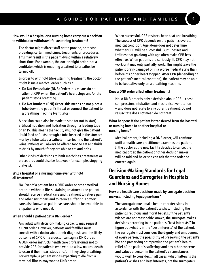# **How would a hospital or a nursing home carry out a decision to withhold or withdraw life-sustaining treatment?**

The doctor might direct staff not to provide, or to stop providing, certain medicines, treatments or procedures. This may result in the patient dying within a relatively short time. For example, the doctor might order that a ventilator, which is enabling a patient to breathe, be turned off.

In order to withhold life-sustaining treatment, the doctor might issue a medical order such as a:

- Do Not Resuscitate (DNR) Order: this means do not attempt CPR when the patient's heart stops and/or the patient stops breathing.
- Do Not Intubate (DNI) Order: this means do not place a tube down the patient's throat or connect the patient to a breathing machine (ventilator).

A decision could also be made to stop (or not to start) artificial nutrition and hydration through a feeding tube or an IV. This means the facility will not give the patient liquid food or fluids through a tube inserted in the stomach – or by a tube called a catheter inserted into the patient's veins. Patients will always be offered food to eat and fluids to drink by mouth if they are able to eat and drink.

Other kinds of decisions to limit medicines, treatments or procedures could also be followed (for example, stopping dialysis).

# **Will a hospital or a nursing home ever withhold all treatment?**

No. Even if a patient has a DNR order or other medical order to withhold life-sustaining treatment, the patient should receive medical care and treatment to relieve pain and other symptoms and to reduce suffering. Comfort care, also known as palliative care, should be available to all patients who need it.

# **When should a patient get a DNR order?**

Any adult with decision-making capacity may request a DNR order. However, patients and families must consult with a doctor about their diagnosis and the likely outcome of CPR. Only a doctor can sign a DNR order. A DNR order instructs health care professionals not to provide CPR for patients who want to allow natural death to occur if their heart stops and/or if they stop breathing. For example, a patient who is expecting to die from a terminal illness may want a DNR order.

When successful, CPR restores heartbeat and breathing. The success of CPR depends on the patient's overall medical condition. Age alone does not determine whether CPR will be successful. But illnesses and frailties that go along with age often make CPR less effective. When patients are seriously ill, CPR may not work or it may only partially work. This might leave the patient brain-damaged or in a worse medical state than before his or her heart stopped. After CPR (depending on the patient's medical condition), the patient may be able to be kept alive only on a breathing machine.

# **Does a DNR order affect other treatment?**

No. A DNR order is only a decision about CPR – chest compression, intubation and mechanical ventilation – and does not relate to any other treatment. Do not resuscitate does **not** mean do not treat.

# **What happens if the patient is transferred from the hospital or nursing home to another hospital or nursing home?**

Medical orders, including a DNR order, will continue until a health care practitioner examines the patient. If the doctor at the new facility decides to cancel the medical order, the patient or other decision maker will be told and he or she can ask that the order be entered again.

# **Decision-Making Standards for Legal Guardians and Surrogates in Hospitals and Nursing Homes**

# **How are health care decisions made by surrogate decision makers, including legal guardians?**

The surrogate must make health care decisions in accordance with the patient's wishes, including the patient's religious and moral beliefs. If the patient's wishes are not reasonably known, the surrogate makes decisions according to the patient's "best interests." To figure out what is in the "best interests" of the patient, the surrogate must consider: the dignity and uniqueness of every person; the possibility of preserving the patient's life and preserving or improving the patient's health; relief of the patient's suffering; and any other concerns and values a person in the patient's circumstances would wish to consider. In all cases, what matters is the **patient's** wishes and best interests, not the surrogate's.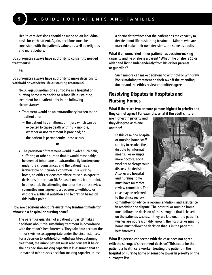Health care decisions should be made on an individual basis for each patient. Again, decisions must be consistent with the patient's values, as well as religious and moral beliefs.

**Do surrogates always have authority to consent to needed treatments?**

 Yes.

**Do surrogates always have authority to make decisions to withhold or withdraw life-sustaining treatment?**

No. A legal guardian or a surrogate in a hospital or nursing home may decide to refuse life-sustaining treatment for a patient only in the following circumstances:

- Treatment would be an extraordinary burden to the patient and:
	- the patient has an illness or injury which can be expected to cause death within six months, whether or not treatment is provided; or
	- the patient is permanently unconscious;

#### **or**

 • The provision of treatment would involve such pain, suffering or other burden that it would reasonably be deemed inhumane or extraordinarily burdensome under the circumstances and the patient has an irreversible or incurable condition. In a nursing home, an ethics review committee must also agree to decisions (other than DNR) based on this bullet-point. In a hospital, the attending doctor or the ethics review committee must agree to a decision to withhold or withdraw artificial nutrition and hydration based on this bullet-point.

# **How are decisions about life-sustaining treatment made for minors in a hospital or nursing home?**

The parent or guardian of a patient under 18 makes decisions about life-sustaining treatment in accordance with the minor's best interests. They take into account the minor's wishes as appropriate under the circumstances. For a decision to withhold or withdraw life-sustaining treatment, the minor patient must also consent if he or she has decision-making capacity. It is assumed that an unmarried minor lacks decision-making capacity unless

a doctor determines that the patient has the capacity to decide about life-sustaining treatment. Minors who are married make their own decisions, the same as adults.

**What if an unmarried minor patient has decision-making capacity and he or she is a parent? What if he or she is 16 or older and living independently from his or her parents or guardian?**

Such minors can make decisions to withhold or withdraw life-sustaining treatment on their own if the attending doctor and the ethics review committee agree.

# **Resolving Disputes in Hospitals and Nursing Homes**

**What if there are two or more persons highest in priority and they cannot agree? For example, what if the adult children** 

**are highest in priority and they disagree with one another?**

> In this case, the hospital or nursing home staff can try to resolve the dispute by informal means. For example, more doctors, social workers or clergy could discuss the decision. Also, every hospital and nursing home must have an ethics review committee. The case may be referred to the ethics review



committee for advice, a recommendation, and assistance in resolving the dispute. The hospital or nursing home must follow the decision of the surrogate that is based on the patient's wishes, if they are known. If the patient's wishes are not reasonably known, the hospital or nursing home must follow the decision that is in the patient's best interests.

**What if a person connected with the case does not agree with the surrogate's treatment decision? This could be the patient, a health care worker treating the patient in the hospital or nursing home or someone lower in priority on the surrogate list.**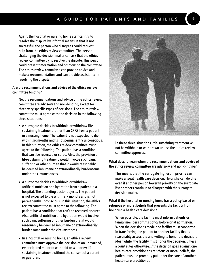Again, the hospital or nursing home staff can try to resolve the dispute by informal means. If that is not successful, the person who disagrees could request help from the ethics review committee. The person challenging the decision maker can ask that the ethics review committee try to resolve the dispute. This person could present information and opinions to the committee. The ethics review committee can provide advice and make a recommendation, and can provide assistance in resolving the dispute.

### **Are the recommendations and advice of the ethics review committee binding?**

No, the recommendations and advice of the ethics review committee are advisory and non-binding, except for three very specific types of decisions. The ethics review committee must agree with the decision in the following three situations:

- A surrogate decides to withhold or withdraw lifesustaining treatment (other than CPR) from a patient in a nursing home. The patient is not expected to die within six months and is not permanently unconscious. In this situation, the ethics review committee must agree to the following. The patient has a condition that can't be reversed or cured. Also, the provision of life-sustaining treatment would involve such pain, suffering or other burden that it would reasonably be deemed inhumane or extraordinarily burdensome under the circumstances.
- A surrogate decides to withhold or withdraw artificial nutrition and hydration from a patient in a hospital. The attending doctor objects. The patient is not expected to die within six months and is not permanently unconscious. In this situation, the ethics review committee must agree to the following. The patient has a condition that can't be reversed or cured. Also, artificial nutrition and hydration would involve such pain, suffering or other burden that it would reasonably be deemed inhumane or extraordinarily burdensome under the circumstances.
- In a hospital or nursing home, an ethics review committee must approve the decision of an unmarried, emancipated minor to withhold or withdraw lifesustaining treatment without the consent of a parent or guardian.



In these three situations, life-sustaining treatment will not be withheld or withdrawn unless the ethics review committee approves.

# **What does it mean when the recommendations and advice of the ethics review committee are advisory and non-binding?**

This means that the surrogate highest in priority can make a legal health care decision. He or she can do this even if another person lower in priority on the surrogate list or others continue to disagree with the surrogate decision maker.

### **What if the hospital or nursing home has a policy based on religious or moral beliefs that prevents the facility from honoring a health care decision?**

When possible, the facility must inform patients or family members of this policy before or at admission. When the decision is made, the facility must cooperate in transferring the patient to another facility that is reasonably accessible and willing to honor the decision. Meanwhile, the facility must honor the decision, unless a court rules otherwise. If the decision goes against one health care practitioner's religious or moral beliefs, the patient must be promptly put under the care of another health care practitioner.